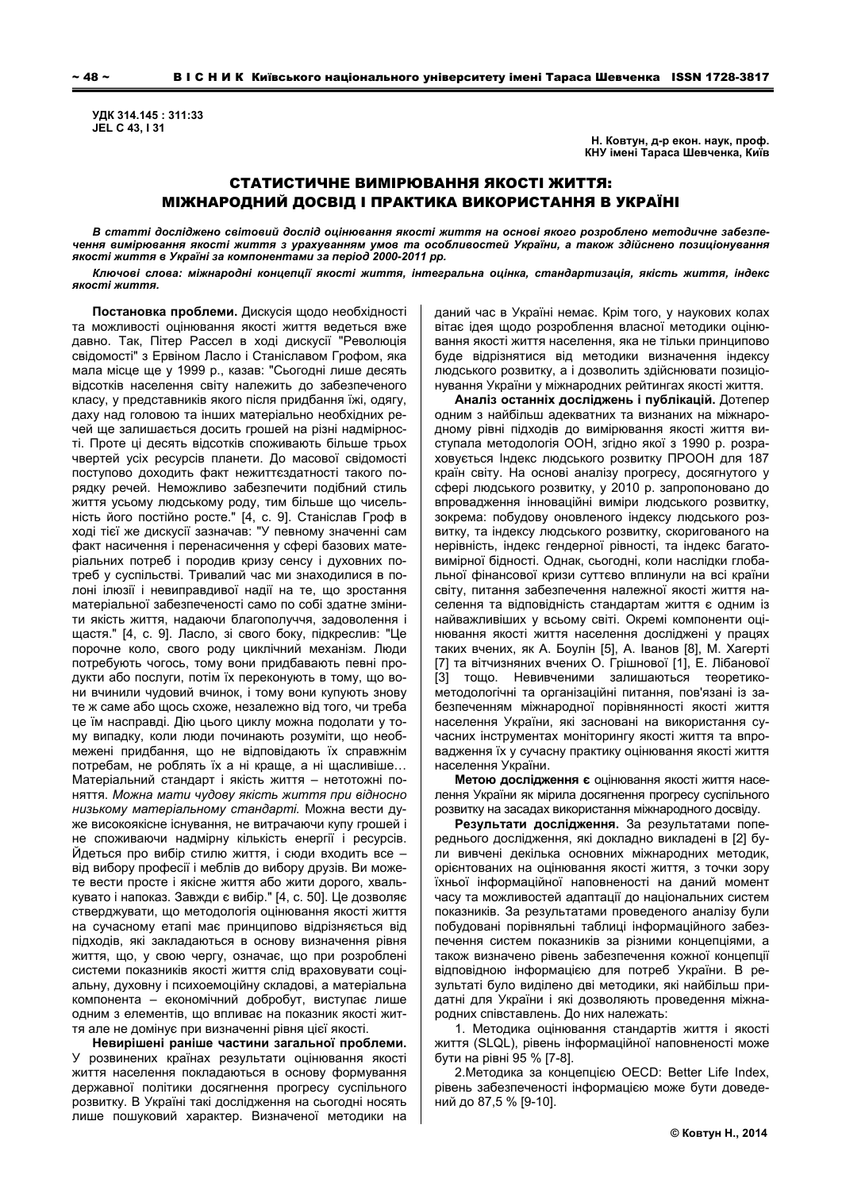**ɍȾɄ 314.145 : 311:33 JEL C 43, I 31** 

> $H.$  Ковтун, д-р екон. наук, проф. КНУ імені Тараса Шевченка, Київ

## СТАТИСТИЧНЕ ВИМІРЮВАННЯ ЯКОСТІ ЖИТТЯ: МІЖНАРОДНИЙ ДОСВІД І ПРАКТИКА ВИКОРИСТАННЯ В УКРАЇНІ

В статті досліджено світовий дослід оцінювання якості життя на основі якого розроблено методичне забезпечення вимірювання якості життя з урахуванням умов та особливостей України, а також здійснено позиціонування  $x$ кості життя в Україні за компонентами за період 2000-2011 рр.

Ключові слова: міжнародні концепції якості життя, інтегральна оцінка, стандартизація, якість життя, індекс  $\boldsymbol{\mathsf{g}}$ кості життя.

Постановка проблеми. Дискусія щодо необхідності та можливості оцінювання якості життя ведеться вже давно. Так. Пітер Рассел в ході дискусії "Революція свідомості" з Ервіном Ласло і Станіславом Грофом, яка мала місце ще у 1999 р., казав: "Сьогодні лише десять відсотків населення світу належить до забезпеченого класу, у представників якого після придбання їжі, одягу, даху над головою та інших матеріально необхідних речей ще залишається досить грошей на різні надмірності. Проте ці десять відсотків споживають більше трьох чвертей усіх ресурсів планети. До масової свідомості поступово доходить факт нежиттєздатності такого порядку речей. Неможливо забезпечити подібний стиль життя усьому людському роду, тим більше що чисельність його постійно росте." [4, с. 9]. Станіслав Гроф в ході тієї же дискусії зазначав: "У певному значенні сам факт насичення і перенасичення у сфері базових матеріальних потреб і породив кризу сенсу і духовних потреб у суспільстві. Тривалий час ми знаходилися в полоні ілюзії і невиправдивої надії на те, що зростання матеріальної забезпеченості само по собі здатне змінити якість життя, надаючи благополуччя, задоволення і щастя." [4, с. 9]. Ласло, зі свого боку, підкреслив: "Це порочне коло, свого роду циклічний механізм. Люди потребують чогось, тому вони придбавають певні продукти або послуги, потім їх переконують в тому, що во-НИ ВЧИНИЛИ ЧУДОВИЙ ВЧИНОК, І ТОМУ ВОНИ КУПУЮТЬ ЗНОВУ те ж саме або щось схоже, незалежно від того, чи треба це їм насправді. Дію цього циклу можна подолати у тому випадку, коли люди починають розуміти, що необмежені придбання, що не відповідають їх справжнім потребам, не роблять їх а ні краще, а ні щасливіше... Матеріальний стандарт і якість життя - нетотожні поняття. Можна мати чудову якість життя при відносно **НИЗЬКОМУ МАТЕРІАЛЬНОМУ СТАНДАРТІ. МОЖНА ВЕСТИ ДУ**же високоякісне існування, не витрачаючи купу грошей і не споживаючи надмірну кількість енергії і ресурсів. Йдеться про вибір стилю життя, і сюди входить все – від вибору професії і меблів до вибору друзів. Ви можете вести просте і якісне життя або жити дорого, хвалькувато і напоказ. Завжди є вибір." [4, с. 50]. Це дозволяє стверджувати, що методологія оцінювання якості життя на сучасному етапі має принципово відрізняється від підходів, які закладаються в основу визначення рівня життя, що, у свою чергу, означає, що при розроблені системи показників якості життя слід враховувати соціальну, духовну і психоемоційну складові, а матеріальна компонента – економічний добробут, виступає лише одним з елементів, що впливає на показник якості життя але не домінує при визначенні рівня цієї якості.

Невирішені раніше частини загальної проблеми. У розвинених країнах результати оцінювання якості життя населення покладаються в основу формування державної політики досягнення прогресу суспільного розвитку. В Україні такі дослідження на сьогодні носять лише пошуковий характер. Визначеної методики на

даний час в Україні немає. Крім того, у наукових колах вітає ідея щодо розроблення власної методики оцінювання якості життя населення, яка не тільки принципово буде відрізнятися від методики визначення індексу людського розвитку, а і дозволить здійснювати позиціонування України у міжнародних рейтингах якості життя.

**Аналіз останніх досліджень і публікацій.** Дотепер одним з найбільш адекватних та визнаних на міжнародному рівні підходів до вимірювання якості життя виступала методологія ООН, згідно якої з 1990 p. poзpaховується Індекс людського розвитку ПРООН для 187 країн світу. На основі аналізу прогресу, досягнутого у сфері людського розвитку, у 2010 р. запропоновано до впровадження інноваційні виміри людського розвитку, зокрема: побудову оновленого індексу людського розвитку, та індексу людського розвитку, скоригованого на нерівність, індекс гендерної рівності, та індекс багатовимірної бідності. Однак, сьогодні, коли наслідки глобальної фінансової кризи суттєво вплинули на всі країни світу, питання забезпечення належної якості життя населення та відповідність стандартам життя є одним із найважливіших у всьому світі. Окремі компоненти оцінювання якості життя населення досліджені у працях таких вчених, як А. Боулін [5], А. Іванов [8], М. Хагерті [7] та вітчизняних вчених О. Грішнової [1], Е. Лібанової [3] тощо. Невивченими залишаються теоретикометодологічні та організаційні питання, пов'язані із забезпеченням міжнародної порівнянності якості життя населення України, які засновані на використання сучасних інструментах моніторингу якості життя та впровадження їх у сучасну практику оцінювання якості життя населення України.

Метою дослідження є оцінювання якості життя населення України як мірила досягнення прогресу суспільного розвитку на засадах використання міжнародного досвіду.

Результати дослідження. За результатами попереднього дослідження, які докладно викладені в [2] були вивчені декілька основних міжнародних методик. орієнтованих на оцінювання якості життя, з точки зору їхньої інформаційної наповненості на даний момент часу та можливостей адаптації до національних систем показників. За результатами проведеного аналізу були побудовані порівняльні таблиці інформаційного забезпечення систем показників за різними концепціями, а також визначено рівень забезпечення кожної концепції відповідною інформацією для потреб України. В результаті було виділено дві методики, які найбільш придатні для України і які дозволяють проведення міжнародних співставлень. До них належать:

1. Методика оцінювання стандартів життя і якості життя (SLQL), рівень інформаційної наповненості може бути на рівні 95 % [7-8].

2. Методика за концепцією OECD: Better Life Index. рівень забезпеченості інформацією може бути доведений до 87,5 % [9-10].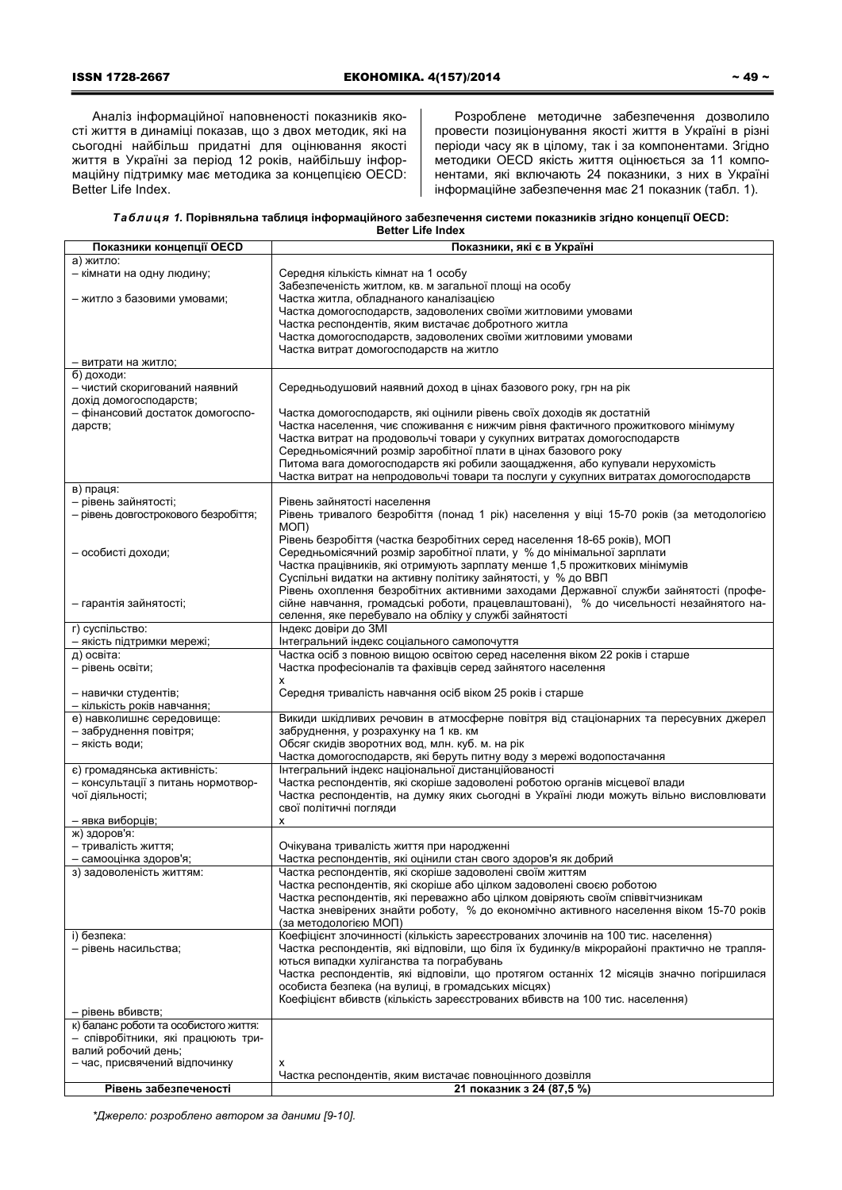Розроблене методичне забезпечення дозволило провести позиціонування якості життя в Україні в різні періоди часу як в цілому, так і за компонентами. Згідно методики OECD якість життя оцінюється за 11 компонентами, які включають 24 показники, з них в Україні інформаційне забезпечення має 21 показник (табл. 1).

*Ɍɚɛɥɢɰɹ 1.* **ɉɨɪɿɜɧɹɥɶɧɚ ɬɚɛɥɢɰɹ ɿɧɮɨɪɦɚɰɿɣɧɨɝɨ ɡɚɛɟɡɩɟɱɟɧɧɹ ɫɢɫɬɟɦɢ ɩɨɤɚɡɧɢɤɿɜ ɡɝɿɞɧɨ ɤɨɧɰɟɩɰɿʀ OECD: Better Life Index** 

| Показники концепції ОЕСД              | Показники, які є в Україні                                                                                                                   |
|---------------------------------------|----------------------------------------------------------------------------------------------------------------------------------------------|
| а) житло:                             |                                                                                                                                              |
| - кімнати на одну людину;             | Середня кількість кімнат на 1 особу                                                                                                          |
|                                       | Забезпеченість житлом, кв. м загальної площі на особу                                                                                        |
| - житло з базовими умовами;           | Частка житла, обладнаного каналізацією                                                                                                       |
|                                       | Частка домогосподарств, задоволених своїми житловими умовами                                                                                 |
|                                       | Частка респондентів, яким вистачає добротного житла                                                                                          |
|                                       | Частка домогосподарств, задоволених своїми житловими умовами                                                                                 |
|                                       | Частка витрат домогосподарств на житло                                                                                                       |
| – витрати на житло;<br>б) доходи:     |                                                                                                                                              |
| - чистий скоригований наявний         | Середньодушовий наявний доход в цінах базового року, грн на рік                                                                              |
| дохід домогосподарств;                |                                                                                                                                              |
| – фінансовий достаток домогоспо-      | Частка домогосподарств, які оцінили рівень своїх доходів як достатній                                                                        |
| дарств;                               | Частка населення, чиє споживання є нижчим рівня фактичного прожиткового мінімуму                                                             |
|                                       | Частка витрат на продовольчі товари у сукупних витратах домогосподарств                                                                      |
|                                       | Середньомісячний розмір заробітної плати в цінах базового року                                                                               |
|                                       | Питома вага домогосподарств які робили заощадження, або купували нерухомість                                                                 |
|                                       | Частка витрат на непродовольчі товари та послуги у сукупних витратах домогосподарств                                                         |
| в) праця:                             |                                                                                                                                              |
| – рівень зайнятості;                  | Рівень зайнятості населення                                                                                                                  |
| - рівень довгострокового безробіття;  | Рівень тривалого безробіття (понад 1 рік) населення у віці 15-70 років (за методологією                                                      |
|                                       | МОП)<br>Рівень безробіття (частка безробітних серед населення 18-65 років), МОП                                                              |
| - особисті доходи;                    | Середньомісячний розмір заробітної плати, у % до мінімальної зарплати                                                                        |
|                                       | Частка працівників, які отримують зарплату менше 1,5 прожиткових мінімумів                                                                   |
|                                       | Суспільні видатки на активну політику зайнятості, у % до ВВП                                                                                 |
|                                       | Рівень охоплення безробітних активними заходами Державної служби зайнятості (профе-                                                          |
| - гарантія зайнятості;                | сійне навчання, громадські роботи, працевлаштовані), % до чисельності незайнятого на-                                                        |
|                                       | селення, яке перебувало на обліку у службі зайнятості                                                                                        |
| г) суспільство:                       | Індекс довіри до ЗМІ                                                                                                                         |
| - якість підтримки мережі;            | Інтегральний індекс соціального самопочуття                                                                                                  |
| д) освіта:                            | Частка осіб з повною вищою освітою серед населення віком 22 років і старше                                                                   |
| - рівень освіти;                      | Частка професіоналів та фахівців серед зайнятого населення<br>x                                                                              |
| – навички студентів;                  | Середня тривалість навчання осіб віком 25 років і старше                                                                                     |
| - кількість років навчання;           |                                                                                                                                              |
| е) навколишнє середовище:             | Викиди шкідливих речовин в атмосферне повітря від стаціонарних та пересувних джерел                                                          |
| - забруднення повітря;                | забруднення, у розрахунку на 1 кв. км                                                                                                        |
| – якість води;                        | Обсяг скидів зворотних вод, млн. куб. м. на рік                                                                                              |
|                                       | Частка домогосподарств, які беруть питну воду з мережі водопостачання                                                                        |
| є) громадянська активність:           | Інтегральний індекс національної дистанційованості                                                                                           |
| - консультації з питань нормотвор-    | Частка респондентів, які скоріше задоволені роботою органів місцевої влади                                                                   |
| чої діяльності;                       | Частка респондентів, на думку яких сьогодні в Україні люди можуть вільно висловлювати                                                        |
|                                       | свої політичні погляди                                                                                                                       |
| – явка виборців;<br>ж) здоров'я:      | x                                                                                                                                            |
| – тривалість життя;                   | Очікувана тривалість життя при народженні                                                                                                    |
| - самооцінка здоров'я;                | Частка респондентів, які оцінили стан свого здоров'я як добрий                                                                               |
| з) задоволеність життям:              | Частка респондентів, які скоріше задоволені своїм життям                                                                                     |
|                                       | Частка респондентів, які скоріше або цілком задоволені своєю роботою                                                                         |
|                                       | Частка респондентів, які переважно або цілком довіряють своїм співвітчизникам                                                                |
|                                       | Частка зневірених знайти роботу, % до економічно активного населення віком 15-70 років                                                       |
|                                       | (за методологією МОП)                                                                                                                        |
| і) безпека:                           | Коефіцієнт злочинності (кількість зареєстрованих злочинів на 100 тис. населення)                                                             |
| - рівень насильства;                  | Частка респондентів, які відповіли, що біля їх будинку/в мікрорайоні практично не трапля-                                                    |
|                                       | ються випадки хуліганства та пограбувань                                                                                                     |
|                                       | Частка респондентів, які відповіли, що протягом останніх 12 місяців значно погіршилася<br>особиста безпека (на вулиці, в громадських місцях) |
|                                       | Коефіцієнт вбивств (кількість зареєстрованих вбивств на 100 тис. населення)                                                                  |
| – рівень вбивств;                     |                                                                                                                                              |
| к) баланс роботи та особистого життя: |                                                                                                                                              |
| - співробітники, які працюють три-    |                                                                                                                                              |
| валий робочий день;                   |                                                                                                                                              |
| – час, присвячений відпочинку         | х                                                                                                                                            |
|                                       | Частка респондентів, яким вистачає повноцінного дозвілля                                                                                     |
| Рівень забезпеченості                 | 21 показник з 24 (87,5 %)                                                                                                                    |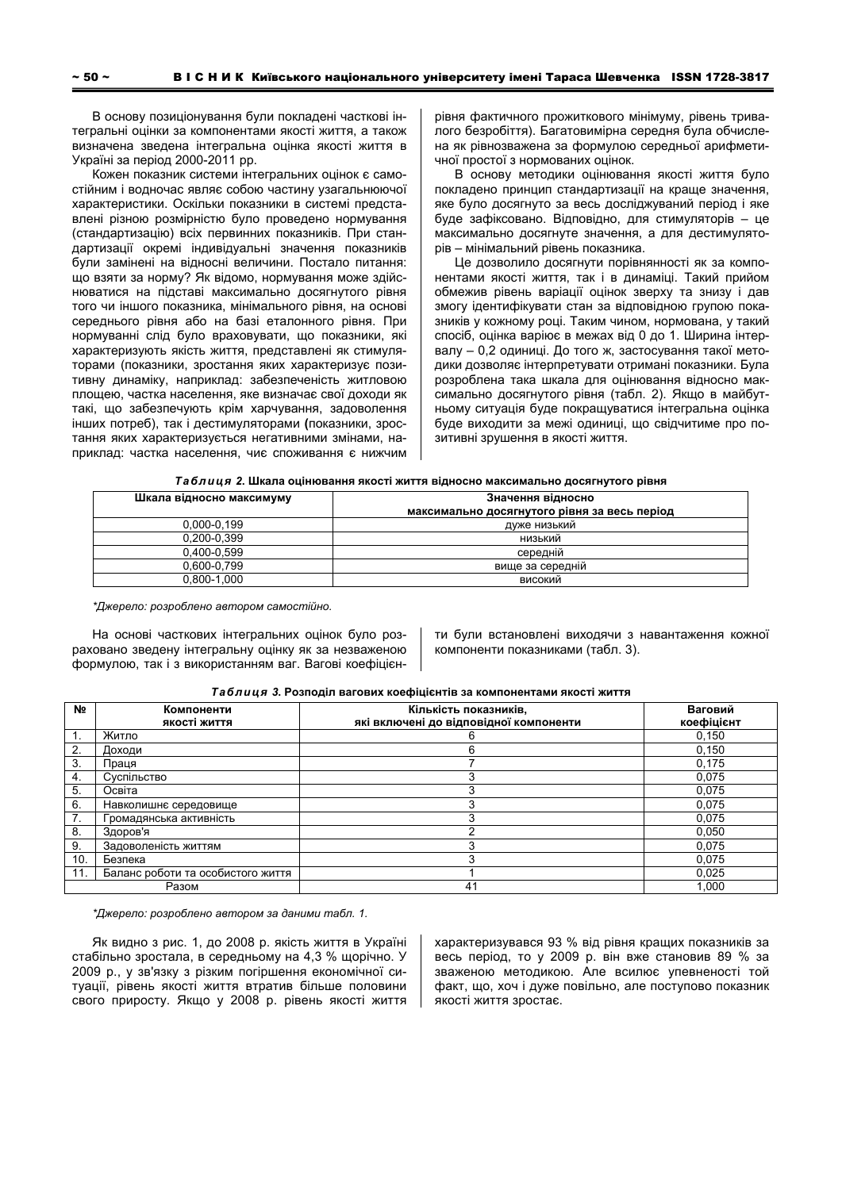В основу позиціонування були покладені часткові інтегральні оцінки за компонентами якості життя, а також визначена зведена інтегральна оцінка якості життя в Україні за період 2000-2011 рр.

Кожен показник системи інтегральних оцінок є самостійним і водночас являє собою частину узагальнюючої характеристики. Оскільки показники в системі представлені різною розмірністю було проведено нормування (стандартизацію) всіх первинних показників. При стандартизації окремі індивідуальні значення показників були замінені на відносні величини. Постало питання: що взяти за норму? Як відомо, нормування може здійснюватися на підставі максимально досягнутого рівня того чи іншого показника, мінімального рівня, на основі середнього рівня або на базі еталонного рівня. При нормуванні слід було враховувати, що показники, які характеризують якість життя, представлені як стимуляторами (показники, зростання яких характеризує позитивну динаміку, наприклад: забезпеченість житловою площею, частка населення, яке визначає свої доходи як такі, що забезпечують крім харчування, задоволення інших потреб), так і дестимуляторами (показники, зростання яких характеризується негативними змінами, наприклад: частка населення, чиє споживання є нижчим рівня фактичного прожиткового мінімуму, рівень тривалого безробіття). Багатовимірна середня була обчислена як рівнозважена за формулою середньої арифметичної простої з нормованих оцінок.

В основу методики оцінювання якості життя було покладено принцип стандартизації на краще значення, яке було досягнуто за весь досліджуваний період і яке буде зафіксовано. Відповідно, для стимуляторів - це максимально досягнуте значення, а для дестимуляторів – мінімальний рівень показника.

Це дозволило досягнути порівнянності як за компонентами якості життя, так і в динаміці. Такий прийом обмежив рівень варіації оцінок зверху та знизу і дав змогу ідентифікувати стан за відповідною групою показників у кожному році. Таким чином, нормована, у такий спосіб, оцінка варіює в межах від 0 до 1. Ширина інтервалу – 0,2 одиниці. До того ж, застосування такої методики дозволяє інтерпретувати отримані показники. Була розроблена така шкала для оцінювання відносно максимально досягнутого рівня (табл. 2). Якщо в майбутньому ситуація буде покращуватися інтегральна оцінка буде виходити за межі одиниці, що свідчитиме про позитивні зрушення в якості життя.

*Ɍɚɛɥɢɰɹ 2***. ɒɤɚɥɚ ɨɰɿɧɸɜɚɧɧɹ ɹɤɨɫɬɿ ɠɢɬɬɹ ɜɿɞɧɨɫɧɨ ɦɚɤɫɢɦɚɥɶɧɨ ɞɨɫɹɝɧɭɬɨɝɨ ɪɿɜɧɹ**

| Шкала відносно максимуму<br>Значення відносно |                                              |
|-----------------------------------------------|----------------------------------------------|
|                                               | максимально досягнутого рівня за весь період |
| $0,000 - 0,199$                               | дуже низький                                 |
| $0.200 - 0.399$                               | низький                                      |
| 0,400-0,599                                   | середній                                     |
| 0.600-0.799                                   | вище за середній                             |
| 0.800-1.000                                   | високий                                      |

*\*Ⱦɠɟɪɟɥɨ: ɪɨɡɪɨɛɥɟɧɨ ɚɜɬɨɪɨɦ ɫɚɦɨɫɬɿɣɧɨ.* 

На основі часткових інтегральних оцінок було розраховано зведену інтегральну оцінку як за незваженою формулою, так і з використанням ваг. Вагові коефіцієнти були встановлені виходячи з навантаження кожної компоненти показниками (табл. 3).

| N <sub>2</sub> | Компоненти<br>якості життя        | Кількість показників,<br>які включені до відповідної компоненти | Ваговий<br>коефіцієнт |
|----------------|-----------------------------------|-----------------------------------------------------------------|-----------------------|
| ι.             | Житло                             | h                                                               | 0,150                 |
| 2.             | Доходи                            | 6                                                               | 0,150                 |
| 3.             | Праця                             |                                                                 | 0,175                 |
| 4.             | Суспільство                       |                                                                 | 0,075                 |
| 5.             | Освіта                            | 3                                                               | 0,075                 |
| 6.             | Навколишнє середовище             |                                                                 | 0,075                 |
| 7.             | ромадянська активність            | р                                                               | 0,075                 |
| 8.             | Здоров'я                          |                                                                 | 0,050                 |
| 9.             | Задоволеність життям              |                                                                 | 0,075                 |
| 10.            | Безпека                           | Я                                                               | 0,075                 |
| 11.            | Баланс роботи та особистого життя |                                                                 | 0,025                 |
| Разом          |                                   | 41                                                              | 1.000                 |

*\*Ⱦɠɟɪɟɥɨ: ɪɨɡɪɨɛɥɟɧɨ ɚɜɬɨɪɨɦ ɡɚ ɞɚɧɢɦɢ ɬɚɛɥ. 1.* 

Як видно з рис. 1, до 2008 р. якість життя в Україні стабільно зростала, в середньому на 4,3 % щорічно. У 2009 р., у зв'язку з різким погіршення економічної ситуації, рівень якості життя втратив більше половини свого приросту. Якщо у 2008 р. рівень якості життя характеризувався 93 % від рівня кращих показників за весь період, то у 2009 р. він вже становив 89 % за зваженою методикою. Але всилює упевненості той факт, що, хоч і дуже повільно, але поступово показник якості життя зростає.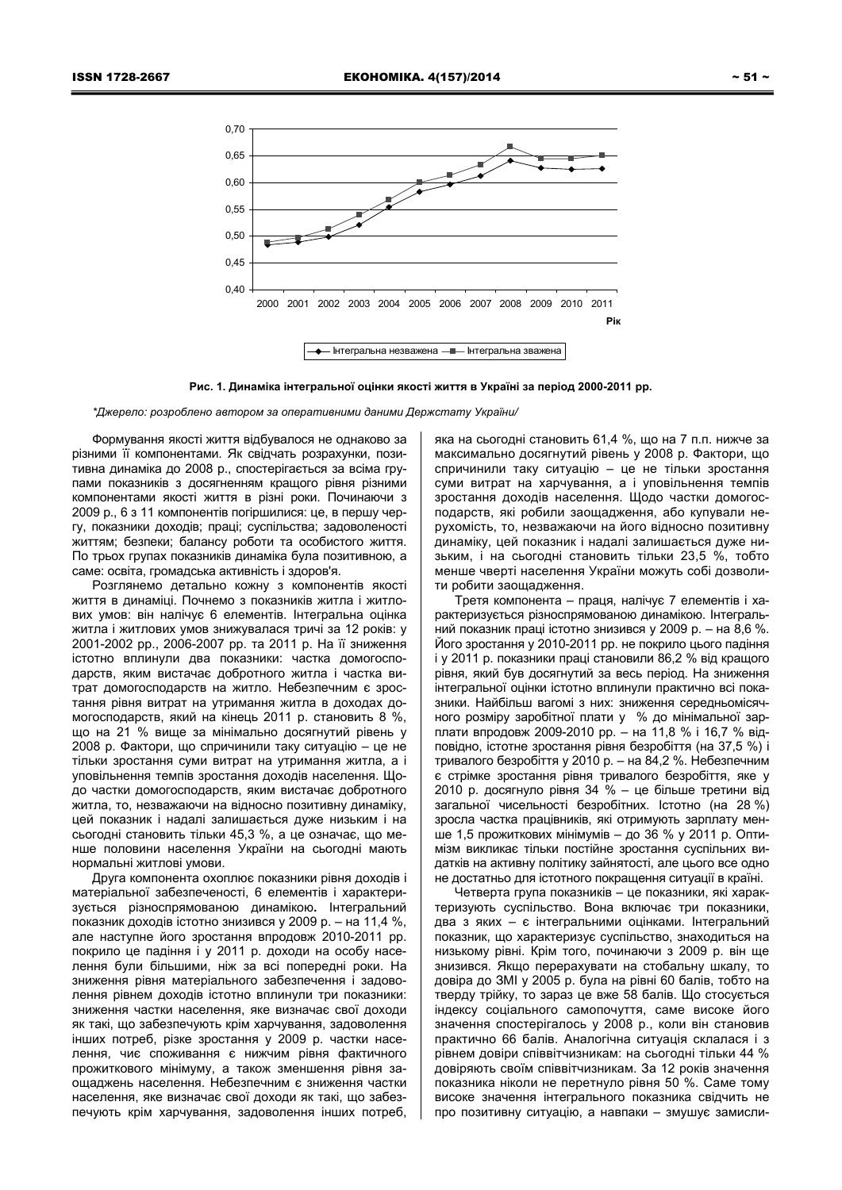

Рис. 1. Динаміка інтегральної оцінки якості життя в Україні за період 2000-2011 рр.

*\*Ⱦɠɟɪɟɥɨ: ɪɨɡɪɨɛɥɟɧɨ ɚɜɬɨɪɨɦ ɡɚ ɨɩɟɪɚɬɢɜɧɢɦɢ ɞɚɧɢɦɢ Ⱦɟɪɠɫɬɚɬɭ ɍɤɪɚʀɧɢ/* 

Формування якості життя відбувалося не однаково за різними її компонентами. Як свідчать розрахунки, позитивна динаміка до 2008 р., спостерігається за всіма групами показників з досягненням кращого рівня різними компонентами якості життя в різні роки. Починаючи з 2009 р., 6 з 11 компонентів погіршилися: це, в першу чергу, показники доходів; праці; суспільства; задоволеності життям; безпеки; балансу роботи та особистого життя. По трьох групах показників динаміка була позитивною, а саме: освіта, громадська активність і здоров'я.

0,50 0,55 0,60 0,65 0,70

Розглянемо детально кожну з компонентів якості життя в динаміці. Почнемо з показників житла і житлових умов: він налічує 6 елементів. Інтегральна оцінка житла і житлових умов знижувалася тричі за 12 років: у 2001-2002 pp., 2006-2007 pp. та 2011 р. На її зниження істотно вплинули два показники: частка домогосподарств, яким вистачає добротного житла і частка витрат домогосподарств на житло. Небезпечним є зростання рівня витрат на утримання житла в доходах домогосподарств, який на кінець 2011 р. становить 8 %, що на 21 % вище за мінімально досягнутий рівень у 2008 р. Фактори, що спричинили таку ситуацію – це не тільки зростання суми витрат на утримання житла, а і уповільнення темпів зростання доходів населення. Щодо частки домогосподарств, яким вистачає добротного житла, то, незважаючи на відносно позитивну динаміку, цей показник і надалі залишається дуже низьким і на сьогодні становить тільки 45,3 %, а це означає, що менше половини населення України на сьогодні мають нормальні житлові умови.

Друга компонента охоплює показники рівня доходів і матеріальної забезпеченості, 6 елементів і характеризується різноспрямованою динамікою. Інтегральний показник доходів істотно знизився у 2009 р. – на 11,4 %, але наступне його зростання впродовж 2010-2011 рр. покрило це падіння і у 2011 р. доходи на особу населення були більшими, ніж за всі попередні роки. На зниження рівня матеріального забезпечення і задоволення рівнем доходів істотно вплинули три показники: зниження частки населення, яке визначає свої доходи як такі, що забезпечують крім харчування, задоволення інших потреб, різке зростання у 2009 р. частки населення, чиє споживання є нижчим рівня фактичного прожиткового мінімуму, а також зменшення рівня заощаджень населення. Небезпечним є зниження частки населення, яке визначає свої доходи як такі, що забезпечують крім харчування, задоволення інших потреб,

яка на сьогодні становить 61,4 %, що на 7 п.п. нижче за максимально досягнутий рівень у 2008 р. Фактори, що спричинили таку ситуацію – це не тільки зростання суми витрат на харчування, а і уповільнення темпів зростання доходів населення. Щодо частки домогосподарств, які робили заощадження, або купували нерухомість, то, незважаючи на його відносно позитивну динаміку, цей показник і надалі залишається дуже низьким, і на сьогодні становить тільки 23,5 %, тобто менше чверті населення України можуть собі дозволити робити заощадження.

Третя компонента – праця, налічує 7 елементів і характеризується різноспрямованою динамікою. Інтегральний показник праці істотно знизився у 2009 р. – на 8,6 %. Його зростання у 2010-2011 рр. не покрило цього падіння  $i$  у 2011 р. показники праці становили 86,2 % від кращого рівня, який був досягнутий за весь період. На зниження інтегральної оцінки істотно вплинули практично всі показники. Найбільш вагомі з них: зниження середньомісячного розміру заробітної плати у % до мінімальної зарплати впродовж 2009-2010 рр. – на 11,8 % і 16,7 % відповідно, істотне зростання рівня безробіття (на 37,5 %) і тривалого безробіття у 2010 р. – на 84,2 %. Небезпечним є стрімке зростання рівня тривалого безробіття, яке у 2010 p. досягнуло рівня 34 % – це більше третини від загальної чисельності безробітних. Істотно (на 28 %) зросла частка працівників, які отримують зарплату менше 1,5 прожиткових мінімумів – до 36 % у 2011 р. Оптимізм викликає тільки постійне зростання суспільних видатків на активну політику зайнятості, але цього все одно не достатньо для істотного покращення ситуації в країні.

Четверта група показників – це показники, які характеризують суспільство. Вона включає три показники. два з яких – є інтегральними оцінками. Інтегральний показник, що характеризує суспільство, знаходиться на низькому рівні. Крім того, починаючи з 2009 р. він ще знизився. Якщо перерахувати на стобальну шкалу, то довіра до ЗМІ у 2005 р. була на рівні 60 балів, тобто на тверду трійку, то зараз це вже 58 балів. Що стосується індексу соціального самопочуття, саме високе його значення спостерігалось у 2008 р., коли він становив практично 66 балів. Аналогічна ситуація склалася і з рівнем довіри співвітчизникам: на сьогодні тільки 44 % довіряють своїм співвітчизникам. За 12 років значення показника ніколи не перетнуло рівня 50 %. Саме тому високе значення інтегрального показника свідчить не про позитивну ситуацію, а навпаки – змушує замисли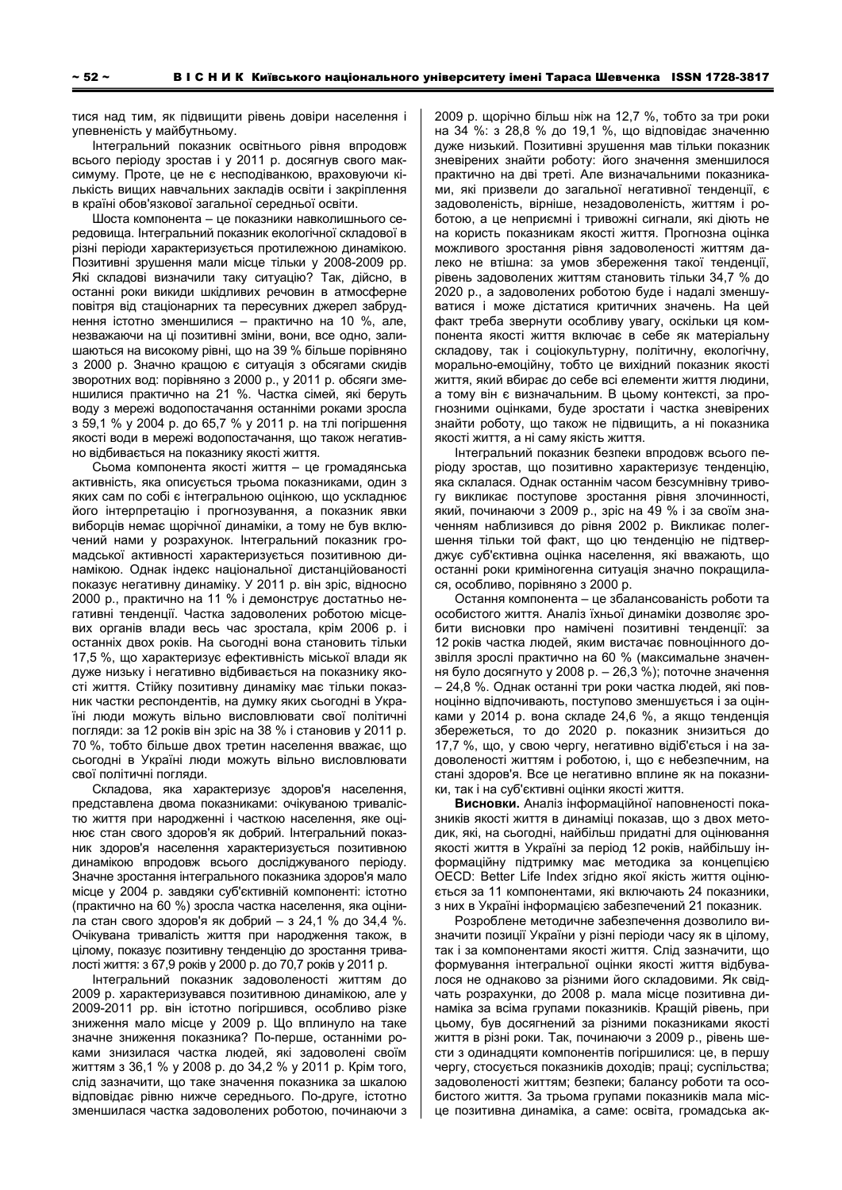тися над тим, як підвищити рівень довіри населення і упевненість у майбутньому.

Інтегральний показник освітнього рівня впродовж всього періоду зростав і у 2011 р. досягнув свого максимуму. Проте, це не є несподіванкою, враховуючи кількість вищих навчальних закладів освіти і закріплення в країні обов'язкової загальної середньої освіти.

Шоста компонента – це показники навколишнього середовища. Інтегральний показник екологічної складової в різні періоди характеризується протилежною динамікою. Позитивні зрушення мали місце тільки у 2008-2009 рр. Які складові визначили таку ситуацію? Так, дійсно, в останні роки викиди шкідливих речовин в атмосферне повітря від стаціонарних та пересувних джерел забруднення істотно зменшилися – практично на 10 %, але, незважаючи на ці позитивні зміни, вони, все одно, залишаються на високому рівні, що на 39 % більше порівняно з 2000 р. Значно кращою є ситуація з обсягами скидів зворотних вод: порівняно з 2000 р., у 2011 р. обсяги зменшилися практично на 21 %. Частка сімей, які беруть воду з мережі водопостачання останніми роками зросла з 59,1 % у 2004 р. до 65,7 % у 2011 р. на тлі погіршення якості води в мережі водопостачання, що також негативно відбивається на показнику якості життя.

Сьома компонента якості життя – це громадянська активність, яка описується трьома показниками, один з яких сам по собі є інтегральною оцінкою, що ускладнює його інтерпретацію і прогнозування, а показник явки виборців немає щорічної динаміки, а тому не був включений нами у розрахунок. Інтегральний показник громадської активності характеризується позитивною динамікою. Однак індекс національної дистанційованості показує негативну динаміку. У 2011 р. він зріс, відносно 2000 р., практично на 11 % і демонструє достатньо негативні тенденції. Частка задоволених роботою місцевих органів влади весь час зростала, крім 2006 р. і останніх двох років. На сьогодні вона становить тільки 17,5 %, що характеризує ефективність міської влади як дуже низьку і негативно відбивається на показнику якості життя. Стійку позитивну динаміку має тільки показник частки респондентів, на думку яких сьогодні в Україні люди можуть вільно висловлювати свої політичні погляди: за 12 років він зріс на 38 % і становив у 2011 р. 70 %, тобто більше двох третин населення вважає, що сьогодні в Україні люди можуть вільно висловлювати свої політичні погляди.

Складова, яка характеризує здоров'я населення, представлена двома показниками: очікуваною тривалістю життя при народженні і часткою населення, яке оцінює стан свого здоров'я як добрий. Інтегральний показник здоров'я населення характеризується позитивною динамікою впродовж всього досліджуваного періоду. Значне зростання інтегрального показника здоров'я мало місце у 2004 р. завдяки суб'єктивній компоненті: істотно (практично на 60 %) зросла частка населення, яка оцінила стан свого здоров'я як добрий – з 24,1 % до 34,4 %. Очікувана тривалість життя при народження також, в цілому, показує позитивну тенденцію до зростання тривалості життя: з 67,9 років у 2000 р. до 70,7 років у 2011 р.

Інтегральний показник задоволеності життям до 2009 р. характеризувався позитивною динамікою, але у 2009-2011 рр. він істотно погіршився, особливо різке зниження мало місце у 2009 р. Що вплинуло на таке значне зниження показника? По-перше, останніми роками знизилася частка людей, які задоволені своїм ЖИТТЯМ 3 36,1 % у 2008 р. до 34,2 % у 2011 р. Крім того, слід зазначити, що таке значення показника за шкалою відповідає рівню нижче середнього. По-друге, істотно зменшилася частка задоволених роботою, починаючи з

2009 р. щорічно більш ніж на 12,7 %, тобто за три роки на 34 %: з 28,8 % до 19,1 %, що відповідає значенню дуже низький. Позитивні зрушення мав тільки показник зневірених знайти роботу: його значення зменшилося практично на дві треті. Але визначальними показниками, які призвели до загальної негативної тенденції, є задоволеність, вірніше, незадоволеність, життям і роботою, а це неприємні і тривожні сигнали, які діють не на користь показникам якості життя. Прогнозна оцінка можливого зростання рівня задоволеності життям далеко не втішна: за умов збереження такої тенденції, рівень задоволених життям становить тільки 34,7 % до 2020 р., а задоволених роботою буде і надалі зменшуватися і може дістатися критичних значень. На цей факт треба звернути особливу увагу, оскільки ця компонента якості життя включає в себе як матеріальну складову, так і соціокультурну, політичну, екологічну, морально-емоційну, тобто це вихідний показник якості життя, який вбирає до себе всі елементи життя людини, а тому він є визначальним. В цьому контексті, за прогнозними оцінками, буде зростати і частка зневірених знайти роботу, що також не підвищить, а ні показника якості життя, а ні саму якість життя.

Натегральний показник безпеки впродовж всього періоду зростав, що позитивно характеризує тенденцію, яка склалася. Однак останнім часом безсумнівну тривогу викликає поступове зростання рівня злочинності, який, починаючи з 2009 р., зріс на 49 % і за своїм значенням наблизився до рівня 2002 р. Викликає полегшення тільки той факт, що цю тенденцію не підтверджує суб'єктивна оцінка населення, які вважають, що останні роки криміногенна ситуація значно покращилася, особливо, порівняно з 2000 р.

Остання компонента – це збалансованість роботи та особистого життя. Аналіз їхньої динаміки дозволяє зробити висновки про намічені позитивні тенденції: за 12 років частка людей, яким вистачає повноцінного дозвілля зрослі практично на 60 % (максимальне значення було досягнуто у 2008 p. – 26,3 %); поточне значення – 24,8 %. Однак останні три роки частка людей, які повноцінно відпочивають, поступово зменшується і за оцінками у 2014 р. вона складе 24,6 %, а якщо тенденція збережеться, то до 2020 р. показник знизиться до 17,7 %, що, у свою чергу, негативно відіб'ється і на задоволеності життям і роботою, і, що є небезпечним, на стані здоров'я. Все це негативно вплине як на показники, так і на суб'єктивні оцінки якості життя.

Висновки. Аналіз інформаційної наповненості показників якості життя в динаміці показав, що з двох методик, які, на сьогодні, найбільш придатні для оцінювання якості життя в Україні за період 12 років, найбільшу інформаційну підтримку має методика за концепцією OECD: Better Life Index згідно якої якість життя оцінюється за 11 компонентами, які включають 24 показники, з них в Україні інформацією забезпечений 21 показник.

Розроблене методичне забезпечення дозволило визначити позиції України у різні періоди часу як в цілому, так і за компонентами якості життя. Слід зазначити, що формування інтегральної оцінки якості життя відбувалося не однаково за різними його складовими. Як свідчать розрахунки, до 2008 р. мала місце позитивна динаміка за всіма групами показників. Кращій рівень, при цьому, був досягнений за різними показниками якості життя в різні роки. Так, починаючи з 2009 р., рівень шести з одинадцяти компонентів погіршилися: це, в першу чергу, стосується показників доходів; праці; суспільства; задоволеності життям; безпеки; балансу роботи та особистого життя. За трьома групами показників мала місце позитивна динаміка, а саме: освіта, громадська ак-